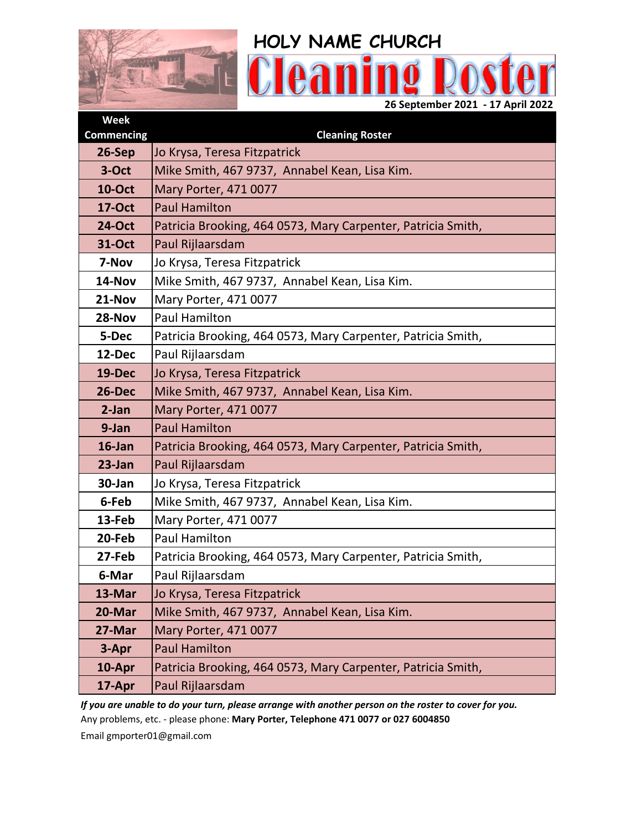

| <b>Week</b>       |                                                              |  |  |
|-------------------|--------------------------------------------------------------|--|--|
| <b>Commencing</b> | <b>Cleaning Roster</b>                                       |  |  |
| 26-Sep            | Jo Krysa, Teresa Fitzpatrick                                 |  |  |
| 3-Oct             | Mike Smith, 467 9737, Annabel Kean, Lisa Kim.                |  |  |
| <b>10-Oct</b>     | Mary Porter, 471 0077                                        |  |  |
| <b>17-Oct</b>     | <b>Paul Hamilton</b>                                         |  |  |
| <b>24-Oct</b>     | Patricia Brooking, 464 0573, Mary Carpenter, Patricia Smith, |  |  |
| <b>31-Oct</b>     | Paul Rijlaarsdam                                             |  |  |
| 7-Nov             | Jo Krysa, Teresa Fitzpatrick                                 |  |  |
| 14-Nov            | Mike Smith, 467 9737, Annabel Kean, Lisa Kim.                |  |  |
| 21-Nov            | Mary Porter, 471 0077                                        |  |  |
| 28-Nov            | <b>Paul Hamilton</b>                                         |  |  |
| 5-Dec             | Patricia Brooking, 464 0573, Mary Carpenter, Patricia Smith, |  |  |
| 12-Dec            | Paul Rijlaarsdam                                             |  |  |
| <b>19-Dec</b>     | Jo Krysa, Teresa Fitzpatrick                                 |  |  |
| 26-Dec            | Mike Smith, 467 9737, Annabel Kean, Lisa Kim.                |  |  |
| 2-Jan             | Mary Porter, 471 0077                                        |  |  |
| 9-Jan             | <b>Paul Hamilton</b>                                         |  |  |
| 16-Jan            | Patricia Brooking, 464 0573, Mary Carpenter, Patricia Smith, |  |  |
| 23-Jan            | Paul Rijlaarsdam                                             |  |  |
| 30-Jan            | Jo Krysa, Teresa Fitzpatrick                                 |  |  |
| 6-Feb             | Mike Smith, 467 9737, Annabel Kean, Lisa Kim.                |  |  |
| 13-Feb            | Mary Porter, 471 0077                                        |  |  |
| 20-Feb            | <b>Paul Hamilton</b>                                         |  |  |
| 27-Feb            | Patricia Brooking, 464 0573, Mary Carpenter, Patricia Smith, |  |  |
| 6-Mar             | Paul Rijlaarsdam                                             |  |  |
| 13-Mar            | Jo Krysa, Teresa Fitzpatrick                                 |  |  |
| 20-Mar            | Mike Smith, 467 9737, Annabel Kean, Lisa Kim.                |  |  |
| 27-Mar            | Mary Porter, 471 0077                                        |  |  |
| 3-Apr             | <b>Paul Hamilton</b>                                         |  |  |
| 10-Apr            | Patricia Brooking, 464 0573, Mary Carpenter, Patricia Smith, |  |  |
| 17-Apr            | Paul Rijlaarsdam                                             |  |  |

*If you are unable to do your turn, please arrange with another person on the roster to cover for you.* Any problems, etc. - please phone: **Mary Porter, Telephone 471 0077 or 027 6004850**

Email gmporter01@gmail.com